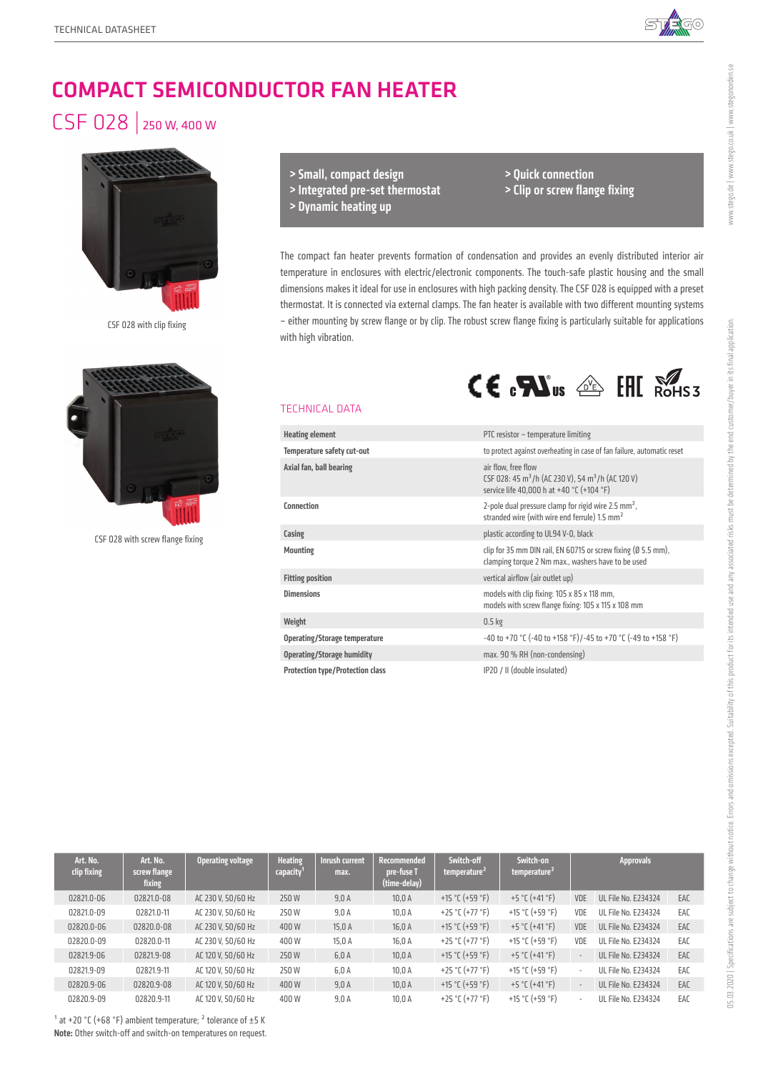

# COMPACT SEMICONDUCTOR FAN HEATER

## CSF 028 | 250 W, 400 W



CSF 028 with clip fixing



CSF 028 with screw flange fixing

> Small, compact design > Integrated pre-set thermostat > Dynamic heating up

> Quick connection > Clip or screw flange fixing

 $CE \cdot \mathbf{N}$ us  $\triangleq$  FHI  $\mathbb{R}$ 

The compact fan heater prevents formation of condensation and provides an evenly distributed interior air temperature in enclosures with electric/electronic components. The touch-safe plastic housing and the small dimensions makes it ideal for use in enclosures with high packing density. The CSF 028 is equipped with a preset thermostat. It is connected via external clamps. The fan heater is available with two different mounting systems – either mounting by screw flange or by clip. The robust screw flange fixing is particularly suitable for applications with high vibration.

### TECHNICAL DATA

| <b>Heating element</b>                  | PTC resistor - temperature limiting                                                                                                           |  |  |  |
|-----------------------------------------|-----------------------------------------------------------------------------------------------------------------------------------------------|--|--|--|
| Temperature safety cut-out              | to protect against overheating in case of fan failure, automatic reset                                                                        |  |  |  |
| Axial fan, ball bearing                 | air flow, free flow<br>CSF 028: 45 m <sup>3</sup> /h (AC 230 V), 54 m <sup>3</sup> /h (AC 120 V)<br>service life 40,000 h at +40 °C (+104 °F) |  |  |  |
| Connection                              | 2-pole dual pressure clamp for rigid wire 2.5 $mm2$ ,<br>stranded wire (with wire end ferrule) 1.5 mm <sup>2</sup>                            |  |  |  |
| Casing                                  | plastic according to UL94 V-0, black                                                                                                          |  |  |  |
| <b>Mounting</b>                         | clip for 35 mm DIN rail, EN 60715 or screw fixing (Ø 5.5 mm),<br>clamping torque 2 Nm max., washers have to be used                           |  |  |  |
| <b>Fitting position</b>                 | vertical airflow (air outlet up)                                                                                                              |  |  |  |
| <b>Dimensions</b>                       | models with clip fixing: 105 x 85 x 118 mm,<br>models with screw flange fixing: 105 x 115 x 108 mm                                            |  |  |  |
| Weight                                  | 0.5 <sub>kg</sub>                                                                                                                             |  |  |  |
| Operating/Storage temperature           | -40 to +70 °C (-40 to +158 °F)/-45 to +70 °C (-49 to +158 °F)                                                                                 |  |  |  |
| <b>Operating/Storage humidity</b>       | max. 90 % RH (non-condensing)                                                                                                                 |  |  |  |
| <b>Protection type/Protection class</b> | IP20 / II (double insulated)                                                                                                                  |  |  |  |

| Art. No.<br>clip fixing | Art. No.<br>screw flange<br>fixing | <b>Operating voltage</b> | <b>Heating</b><br>capacity | Inrush current<br>max. | <b>Recommended</b><br>pre-fuse T<br>(time-delay) | Switch-off<br>temperature <sup>2</sup> | Switch-on<br>temperature <sup>2</sup> |                          | <b>Approvals</b>           |     |
|-------------------------|------------------------------------|--------------------------|----------------------------|------------------------|--------------------------------------------------|----------------------------------------|---------------------------------------|--------------------------|----------------------------|-----|
| 02821.0-06              | 02821.0-08                         | AC 230 V. 50/60 Hz       | 250 W                      | 9,0A                   | 10.0A                                            | +15 °C (+59 °F)                        | +5 °C (+41 °F)                        | VDE                      | <b>UL File No. E234324</b> | EAC |
| 02821.0-09              | 02821.0-11                         | AC 230 V. 50/60 Hz       | 250 W                      | 9,0A                   | 10,0A                                            | +25 °C (+77 °F)                        | +15 °C (+59 °F)                       | VDE                      | <b>UL File No. E234324</b> | EAC |
| 02820.0-06              | 02820.0-08                         | AC 230 V. 50/60 Hz       | 400W                       | 15.0 A                 | 16.0 A                                           | +15 °C (+59 °F)                        | +5 °C (+41 °F)                        | VDE                      | UL File No. E234324        | EAC |
| 02820.0-09              | 02820.0-11                         | AC 230 V. 50/60 Hz       | 400W                       | 15,0 A                 | 16,0 A                                           | +25 °C (+77 °F)                        | +15 °C (+59 °F)                       | VDE                      | <b>UL File No. E234324</b> | EAC |
| 02821.9-06              | 02821.9-08                         | AC 120 V, 50/60 Hz       | 250 W                      | 6,0A                   | 10,0A                                            | +15 °C (+59 °F)                        | +5 °C (+41 °F)                        | $\overline{\phantom{a}}$ | UL File No. E234324        | EAC |
| 02821.9-09              | 02821.9-11                         | AC 120 V. 50/60 Hz       | 250 W                      | 6,0A                   | 10.0A                                            | +25 °C (+77 °F)                        | +15 °C (+59 °F)                       | ٠                        | UL File No. E234324        | EAC |
| 02820.9-06              | 02820.9-08                         | AC 120 V. 50/60 Hz       | 400W                       | 9.0A                   | 10.0A                                            | +15 °C (+59 °F)                        | +5 °C (+41 °F)                        | $\overline{a}$           | UL File No. E234324        | EAC |
| 02820.9-09              | 02820.9-11                         | AC 120 V. 50/60 Hz       | 400W                       | 9.0A                   | 10.0A                                            | +25 °C (+77 °F)                        | +15 °C (+59 °F)                       | ٠                        | UL File No. E234324        | EAC |

www.stego.de | www.stego.co.uk | www.stegonorden.se

 $1$  at +20 °C (+68 °F) ambient temperature;  $2$  tolerance of  $\pm$ 5 K Note: Other switch-off and switch-on temperatures on request.